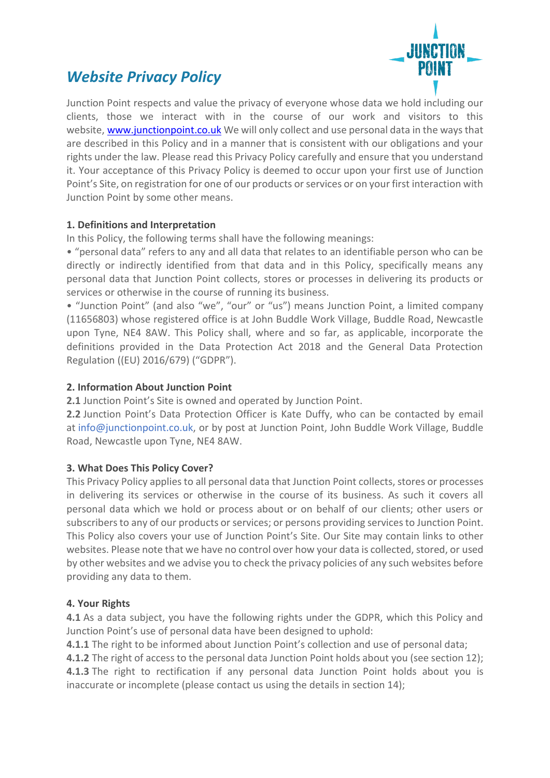# *Website Privacy Policy*



Junction Point respects and value the privacy of everyone whose data we hold including our clients, those we interact with in the course of our work and visitors to this website, [www.junctionpoint.co.uk](http://www.junctionpoint.co.uk/) We will only collect and use personal data in the ways that are described in this Policy and in a manner that is consistent with our obligations and your rights under the law. Please read this Privacy Policy carefully and ensure that you understand it. Your acceptance of this Privacy Policy is deemed to occur upon your first use of Junction Point's Site, on registration for one of our products or services or on your first interaction with Junction Point by some other means.

## **1. Definitions and Interpretation**

In this Policy, the following terms shall have the following meanings:

• "personal data" refers to any and all data that relates to an identifiable person who can be directly or indirectly identified from that data and in this Policy, specifically means any personal data that Junction Point collects, stores or processes in delivering its products or services or otherwise in the course of running its business.

• "Junction Point" (and also "we", "our" or "us") means Junction Point, a limited company (11656803) whose registered office is at John Buddle Work Village, Buddle Road, Newcastle upon Tyne, NE4 8AW. This Policy shall, where and so far, as applicable, incorporate the definitions provided in the Data Protection Act 2018 and the General Data Protection Regulation ((EU) 2016/679) ("GDPR").

# **2. Information About Junction Point**

**2.1** Junction Point's Site is owned and operated by Junction Point.

**2.2** Junction Point's Data Protection Officer is Kate Duffy, who can be contacted by email at [info@junctionpoint.co.uk,](mailto:hello@kedaconsulting.co.uk) or by post at Junction Point, John Buddle Work Village, Buddle Road, Newcastle upon Tyne, NE4 8AW.

## **3. What Does This Policy Cover?**

This Privacy Policy applies to all personal data that Junction Point collects, stores or processes in delivering its services or otherwise in the course of its business. As such it covers all personal data which we hold or process about or on behalf of our clients; other users or subscribers to any of our products or services; or persons providing services to Junction Point. This Policy also covers your use of Junction Point's Site. Our Site may contain links to other websites. Please note that we have no control over how your data is collected, stored, or used by other websites and we advise you to check the privacy policies of any such websites before providing any data to them.

## **4. Your Rights**

**4.1** As a data subject, you have the following rights under the GDPR, which this Policy and Junction Point's use of personal data have been designed to uphold:

**4.1.1** The right to be informed about Junction Point's collection and use of personal data;

**4.1.2** The right of access to the personal data Junction Point holds about you (see section 12); **4.1.3** The right to rectification if any personal data Junction Point holds about you is inaccurate or incomplete (please contact us using the details in section 14);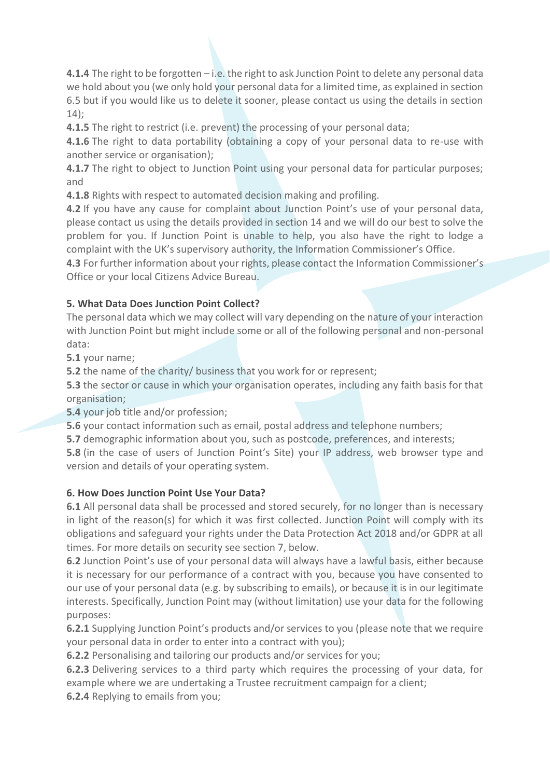**4.1.4** The right to be forgotten – i.e. the right to ask Junction Point to delete any personal data we hold about you (we only hold your personal data for a limited time, as explained in section 6.5 but if you would like us to delete it sooner, please contact us using the details in section 14);

**4.1.5** The right to restrict (i.e. prevent) the processing of your personal data;

**4.1.6** The right to data portability (obtaining a copy of your personal data to re-use with another service or organisation);

**4.1.7** The right to object to Junction Point using your personal data for particular purposes; and

**4.1.8** Rights with respect to automated decision making and profiling.

**4.2** If you have any cause for complaint about Junction Point's use of your personal data, please contact us using the details provided in section 14 and we will do our best to solve the problem for you. If Junction Point is unable to help, you also have the right to lodge a complaint with the UK's supervisory authority, the Information Commissioner's Office.

**4.3** For further information about your rights, please contact the Information Commissioner's Office or your local Citizens Advice Bureau.

# **5. What Data Does Junction Point Collect?**

The personal data which we may collect will vary depending on the nature of your interaction with Junction Point but might include some or all of the following personal and non-personal data:

**5.1** your name;

**5.2** the name of the charity/ business that you work for or represent;

**5.3** the sector or cause in which your organisation operates, including any faith basis for that organisation;

**5.4** your job title and/or profession;

**5.6** your contact information such as email, postal address and telephone numbers;

**5.7** demographic information about you, such as postcode, preferences, and interests;

**5.8** (in the case of users of Junction Point's Site) your IP address, web browser type and version and details of your operating system.

## **6. How Does Junction Point Use Your Data?**

**6.1** All personal data shall be processed and stored securely, for no longer than is necessary in light of the reason(s) for which it was first collected. Junction Point will comply with its obligations and safeguard your rights under the Data Protection Act 2018 and/or GDPR at all times. For more details on security see section 7, below.

**6.2** Junction Point's use of your personal data will always have a lawful basis, either because it is necessary for our performance of a contract with you, because you have consented to our use of your personal data (e.g. by subscribing to emails), or because it is in our legitimate interests. Specifically, Junction Point may (without limitation) use your data for the following purposes:

**6.2.1** Supplying Junction Point's products and/or services to you (please note that we require your personal data in order to enter into a contract with you);

**6.2.2** Personalising and tailoring our products and/or services for you;

**6.2.3** Delivering services to a third party which requires the processing of your data, for example where we are undertaking a Trustee recruitment campaign for a client;

**6.2.4** Replying to emails from you;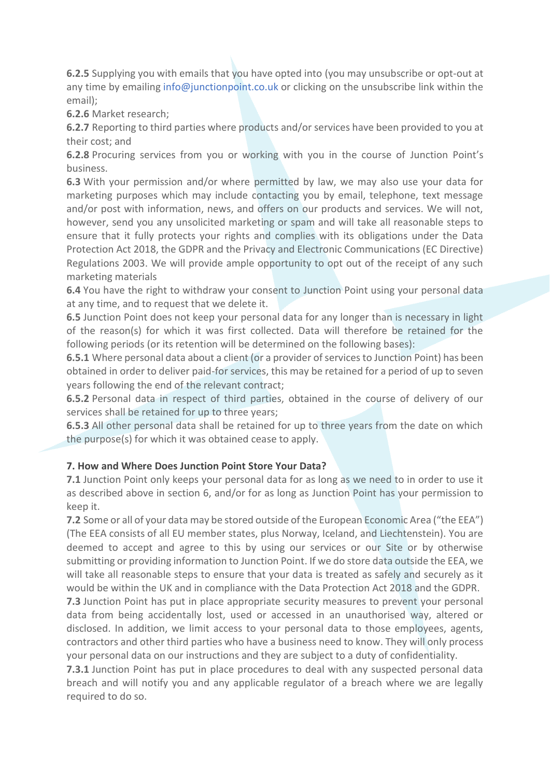**6.2.5** Supplying you with emails that you have opted into (you may unsubscribe or opt-out at any time by emailing [info@junctionpoint.co.uk](mailto:hello@kedaconsulting.co.uk) or clicking on the unsubscribe link within the email);

**6.2.6** Market research;

**6.2.7** Reporting to third parties where products and/or services have been provided to you at their cost; and

**6.2.8** Procuring services from you or working with you in the course of Junction Point's business.

**6.3** With your permission and/or where permitted by law, we may also use your data for marketing purposes which may include contacting you by email, telephone, text message and/or post with information, news, and offers on our products and services. We will not, however, send you any unsolicited marketing or spam and will take all reasonable steps to ensure that it fully protects your rights and complies with its obligations under the Data Protection Act 2018, the GDPR and the Privacy and Electronic Communications (EC Directive) Regulations 2003. We will provide ample opportunity to opt out of the receipt of any such marketing materials

**6.4** You have the right to withdraw your consent to Junction Point using your personal data at any time, and to request that we delete it.

**6.5** Junction Point does not keep your personal data for any longer than is necessary in light of the reason(s) for which it was first collected. Data will therefore be retained for the following periods (or its retention will be determined on the following bases):

**6.5.1** Where personal data about a client (or a provider of services to Junction Point) has been obtained in order to deliver paid-for services, this may be retained for a period of up to seven years following the end of the relevant contract;

**6.5.2** Personal data in respect of third parties, obtained in the course of delivery of our services shall be retained for up to three years;

**6.5.3** All other personal data shall be retained for up to three years from the date on which the purpose(s) for which it was obtained cease to apply.

## **7. How and Where Does Junction Point Store Your Data?**

**7.1** Junction Point only keeps your personal data for as long as we need to in order to use it as described above in section 6, and/or for as long as Junction Point has your permission to keep it.

**7.2** Some or all of your data may be stored outside of the European Economic Area ("the EEA") (The EEA consists of all EU member states, plus Norway, Iceland, and Liechtenstein). You are deemed to accept and agree to this by using our services or our Site or by otherwise submitting or providing information to Junction Point. If we do store data outside the EEA, we will take all reasonable steps to ensure that your data is treated as safely and securely as it would be within the UK and in compliance with the Data Protection Act 2018 and the GDPR.

**7.3** Junction Point has put in place appropriate security measures to prevent your personal data from being accidentally lost, used or accessed in an unauthorised way, altered or disclosed. In addition, we limit access to your personal data to those employees, agents, contractors and other third parties who have a business need to know. They will only process your personal data on our instructions and they are subject to a duty of confidentiality.

**7.3.1** Junction Point has put in place procedures to deal with any suspected personal data breach and will notify you and any applicable regulator of a breach where we are legally required to do so.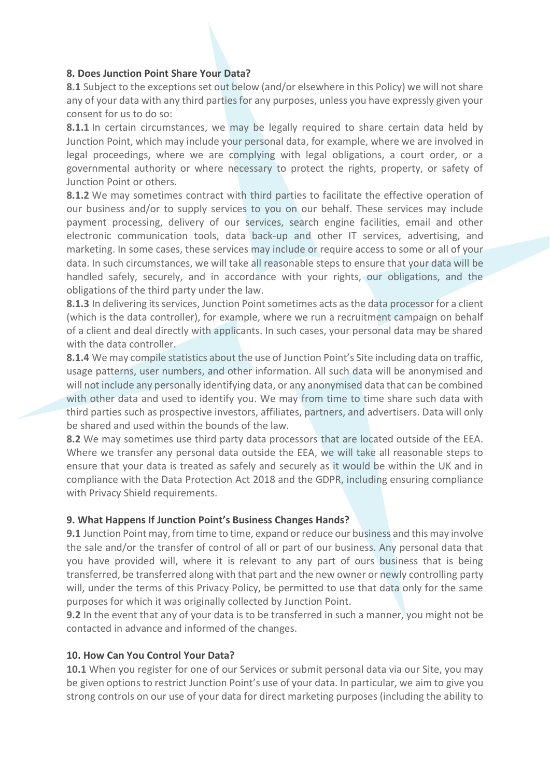#### **8. Does Junction Point Share Your Data?**

**8.1** Subject to the exceptions set out below (and/or elsewhere in this Policy) we will not share any of your data with any third parties for any purposes, unless you have expressly given your consent for us to do so:

**8.1.1** In certain circumstances, we may be legally required to share certain data held by Junction Point, which may include your personal data, for example, where we are involved in legal proceedings, where we are complying with legal obligations, a court order, or a governmental authority or where necessary to protect the rights, property, or safety of Junction Point or others.

**8.1.2** We may sometimes contract with third parties to facilitate the effective operation of our business and/or to supply services to you on our behalf. These services may include payment processing, delivery of our services, search engine facilities, email and other electronic communication tools, data back-up and other IT services, advertising, and marketing. In some cases, these services may include or require access to some or all of your data. In such circumstances, we will take all reasonable steps to ensure that your data will be handled safely, securely, and in accordance with your rights, our obligations, and the obligations of the third party under the law.

**8.1.3** In delivering its services, Junction Point sometimes acts as the data processor for a client (which is the data controller), for example, where we run a recruitment campaign on behalf of a client and deal directly with applicants. In such cases, your personal data may be shared with the data controller.

**8.1.4** We may compile statistics about the use of Junction Point's Site including data on traffic, usage patterns, user numbers, and other information. All such data will be anonymised and will not include any personally identifying data, or any anonymised data that can be combined with other data and used to identify you. We may from time to time share such data with third parties such as prospective investors, affiliates, partners, and advertisers. Data will only be shared and used within the bounds of the law.

**8.2** We may sometimes use third party data processors that are located outside of the EEA. Where we transfer any personal data outside the EEA, we will take all reasonable steps to ensure that your data is treated as safely and securely as it would be within the UK and in compliance with the Data Protection Act 2018 and the GDPR, including ensuring compliance with Privacy Shield requirements.

#### **9. What Happens If Junction Point's Business Changes Hands?**

**9.1** Junction Point may, from time to time, expand or reduce our business and this may involve the sale and/or the transfer of control of all or part of our business. Any personal data that you have provided will, where it is relevant to any part of ours business that is being transferred, be transferred along with that part and the new owner or newly controlling party will, under the terms of this Privacy Policy, be permitted to use that data only for the same purposes for which it was originally collected by Junction Point.

**9.2** In the event that any of your data is to be transferred in such a manner, you might not be contacted in advance and informed of the changes.

#### **10. How Can You Control Your Data?**

**10.1** When you register for one of our Services or submit personal data via our Site, you may be given options to restrict Junction Point's use of your data. In particular, we aim to give you strong controls on our use of your data for direct marketing purposes (including the ability to